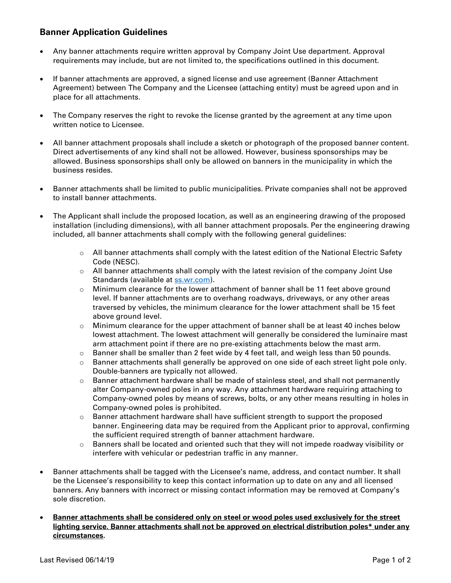## **Banner Application Guidelines**

- Any banner attachments require written approval by Company Joint Use department. Approval requirements may include, but are not limited to, the specifications outlined in this document.
- If banner attachments are approved, a signed license and use agreement (Banner Attachment Agreement) between The Company and the Licensee (attaching entity) must be agreed upon and in place for all attachments.
- The Company reserves the right to revoke the license granted by the agreement at any time upon written notice to Licensee.
- All banner attachment proposals shall include a sketch or photograph of the proposed banner content. Direct advertisements of any kind shall not be allowed. However, business sponsorships may be allowed. Business sponsorships shall only be allowed on banners in the municipality in which the business resides.
- Banner attachments shall be limited to public municipalities. Private companies shall not be approved to install banner attachments.
- The Applicant shall include the proposed location, as well as an engineering drawing of the proposed installation (including dimensions), with all banner attachment proposals. Per the engineering drawing included, all banner attachments shall comply with the following general guidelines:
	- $\circ$  All banner attachments shall comply with the latest edition of the National Electric Safety Code (NESC).
	- $\circ$  All banner attachments shall comply with the latest revision of the company Joint Use Standards (available at [ss.wr.com\)](http://ss.wr.com/).
	- $\circ$  Minimum clearance for the lower attachment of banner shall be 11 feet above ground level. If banner attachments are to overhang roadways, driveways, or any other areas traversed by vehicles, the minimum clearance for the lower attachment shall be 15 feet above ground level.
	- $\circ$  Minimum clearance for the upper attachment of banner shall be at least 40 inches below lowest attachment. The lowest attachment will generally be considered the luminaire mast arm attachment point if there are no pre-existing attachments below the mast arm.
	- $\circ$  Banner shall be smaller than 2 feet wide by 4 feet tall, and weigh less than 50 pounds.
	- $\circ$  Banner attachments shall generally be approved on one side of each street light pole only. Double-banners are typically not allowed.
	- $\circ$  Banner attachment hardware shall be made of stainless steel, and shall not permanently alter Company-owned poles in any way. Any attachment hardware requiring attaching to Company-owned poles by means of screws, bolts, or any other means resulting in holes in Company-owned poles is prohibited.
	- o Banner attachment hardware shall have sufficient strength to support the proposed banner. Engineering data may be required from the Applicant prior to approval, confirming the sufficient required strength of banner attachment hardware.
	- o Banners shall be located and oriented such that they will not impede roadway visibility or interfere with vehicular or pedestrian traffic in any manner.
- Banner attachments shall be tagged with the Licensee's name, address, and contact number. It shall be the Licensee's responsibility to keep this contact information up to date on any and all licensed banners. Any banners with incorrect or missing contact information may be removed at Company's sole discretion.
- **Banner attachments shall be considered only on steel or wood poles used exclusively for the street lighting service. Banner attachments shall not be approved on electrical distribution poles\* under any circumstances.**